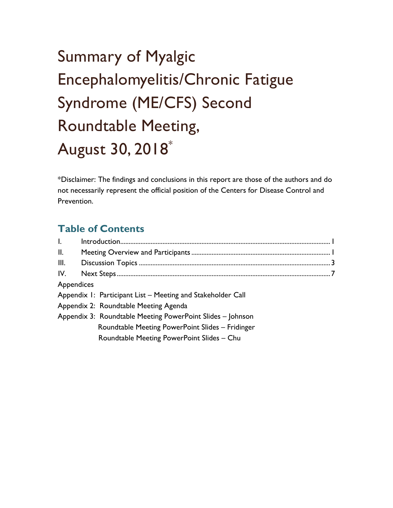# Roundtable Meeting, August 30, 2018\* Summary of Myalgic Encephalomyelitis/Chronic Fatigue Syndrome (ME/CFS) Second

\*Disclaimer: The findings and conclusions in this report are those of the authors and do not necessarily represent the official position of the Centers for Disease Control and Prevention.

### **Table of Contents**

| $\mathsf{L}$ |                                                             |  |
|--------------|-------------------------------------------------------------|--|
| II.          |                                                             |  |
| III.         |                                                             |  |
| IV.          |                                                             |  |
| Appendices   |                                                             |  |
|              | Appendix 1: Participant List - Meeting and Stakeholder Call |  |
|              | Appendix 2: Roundtable Meeting Agenda                       |  |
|              | Appendix 3: Roundtable Meeting PowerPoint Slides - Johnson  |  |
|              | Roundtable Meeting PowerPoint Slides - Fridinger            |  |
|              | Roundtable Meeting PowerPoint Slides - Chu                  |  |
|              |                                                             |  |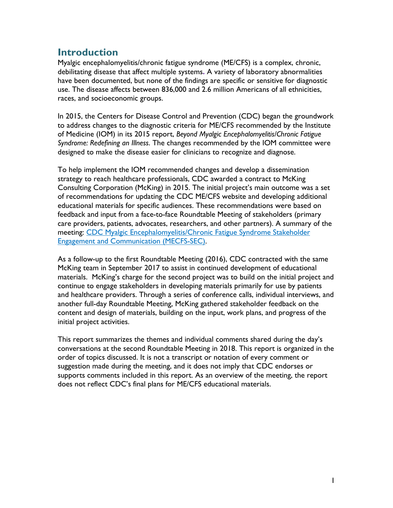#### **Introduction**

Myalgic encephalomyelitis/chronic fatigue syndrome (ME/CFS) is a complex, chronic, debilitating disease that affect multiple systems**.** A variety of laboratory abnormalities have been documented, but none of the findings are specific or sensitive for diagnostic use. The disease affects between 836,000 and 2.6 million Americans of all ethnicities, races, and socioeconomic groups.

In 2015, the Centers for Disease Control and Prevention (CDC) began the groundwork to address changes to the diagnostic criteria for ME/CFS recommended by the Institute of Medicine (IOM) in its 2015 report, *Beyond Myalgic Encephalomyelitis/Chronic Fatigue Syndrome: Redefining an Illness*. The changes recommended by the IOM committee were designed to make the disease easier for clinicians to recognize and diagnose.

 strategy to reach healthcare professionals, CDC awarded a contract to McKing Consulting Corporation (McKing) in 2015. The initial project's main outcome was a set feedback and input from a face-to-face Roundtable Meeting of stakeholders (primary To help implement the IOM recommended changes and develop a dissemination of recommendations for updating the CDC ME/CFS website and developing additional educational materials for specific audiences. These recommendations were based on care providers, patients, advocates, researchers, and other partners). A summary of the meeting: [CDC Myalgic Encephalomyelitis/Chronic Fatigue Syndrome Stakeholder](https://www.cdc.gov/me-cfs/programs/meetings.html)  [Engagement and Communication \(MECFS-SEC\).](https://www.cdc.gov/me-cfs/programs/meetings.html)

 As a follow-up to the first Roundtable Meeting (2016), CDC contracted with the same and healthcare providers. Through a series of conference calls, individual interviews, and another full-day Roundtable Meeting, McKing gathered stakeholder feedback on the McKing team in September 2017 to assist in continued development of educational materials. McKing's charge for the second project was to build on the initial project and continue to engage stakeholders in developing materials primarily for use by patients content and design of materials, building on the input, work plans, and progress of the initial project activities.

 conversations at the second Roundtable Meeting in 2018. This report is organized in the This report summarizes the themes and individual comments shared during the day's order of topics discussed. It is not a transcript or notation of every comment or suggestion made during the meeting, and it does not imply that CDC endorses or supports comments included in this report. As an overview of the meeting, the report does not reflect CDC's final plans for ME/CFS educational materials.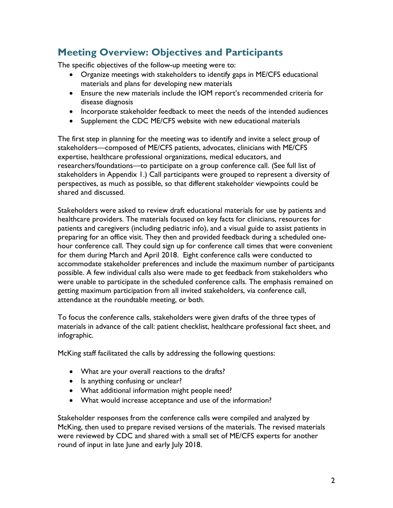# **Meeting Overview: Objectives and Participants**

The specific objectives of the follow-up meeting were to:

- Organize meetings with stakeholders to identify gaps in ME/CFS educational materials and plans for developing new materials
- Ensure the new materials include the IOM report's recommended criteria for disease diagnosis
- Incorporate stakeholder feedback to meet the needs of the intended audiences
- Supplement the CDC ME/CFS website with new educational materials

shared and discussed. The first step in planning for the meeting was to identify and invite a select group of stakeholders—composed of ME/CFS patients, advocates, clinicians with ME/CFS expertise, healthcare professional organizations, medical educators, and researchers/foundations—to participate on a group conference call. (See full list of stakeholders in Appendix 1.) Call participants were grouped to represent a diversity of perspectives, as much as possible, so that different stakeholder viewpoints could be

shared and discussed.<br>Stakeholders were asked to review draft educational materials for use by patients and preparing for an office visit. They then and provided feedback during a scheduled onehealthcare providers. The materials focused on key facts for clinicians, resources for patients and caregivers (including pediatric info), and a visual guide to assist patients in hour conference call. They could sign up for conference call times that were convenient for them during March and April 2018. Eight conference calls were conducted to accommodate stakeholder preferences and include the maximum number of participants possible. A few individual calls also were made to get feedback from stakeholders who were unable to participate in the scheduled conference calls. The emphasis remained on getting maximum participation from all invited stakeholders, via conference call, attendance at the roundtable meeting, or both.

To focus the conference calls, stakeholders were given drafts of the three types of materials in advance of the call: patient checklist, healthcare professional fact sheet, and infographic.

McKing staff facilitated the calls by addressing the following questions:

- What are your overall reactions to the drafts?
- Is anything confusing or unclear?
- What additional information might people need?
- What would increase acceptance and use of the information?

Stakeholder responses from the conference calls were compiled and analyzed by McKing, then used to prepare revised versions of the materials. The revised materials were reviewed by CDC and shared with a small set of ME/CFS experts for another round of input in late June and early July 2018.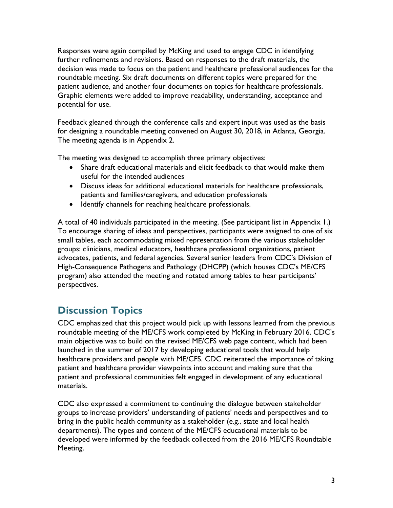roundtable meeting. Six draft documents on different topics were prepared for the patient audience, and another four documents on topics for healthcare professionals. Responses were again compiled by McKing and used to engage CDC in identifying further refinements and revisions. Based on responses to the draft materials, the decision was made to focus on the patient and healthcare professional audiences for the Graphic elements were added to improve readability, understanding, acceptance and potential for use.

Feedback gleaned through the conference calls and expert input was used as the basis for designing a roundtable meeting convened on August 30, 2018, in Atlanta, Georgia. The meeting agenda is in Appendix 2.

The meeting was designed to accomplish three primary objectives:

- useful for the intended audiences • Share draft educational materials and elicit feedback to that would make them
- Discuss ideas for additional educational materials for healthcare professionals, patients and families/caregivers, and education professionals
- Identify channels for reaching healthcare professionals.

 small tables, each accommodating mixed representation from the various stakeholder A total of 40 individuals participated in the meeting. (See participant list in Appendix 1.) To encourage sharing of ideas and perspectives, participants were assigned to one of six groups: clinicians, medical educators, healthcare professional organizations, patient advocates, patients, and federal agencies. Several senior leaders from CDC's Division of High-Consequence Pathogens and Pathology (DHCPP) (which houses CDC's ME/CFS program) also attended the meeting and rotated among tables to hear participants' perspectives.

# **Discussion Topics**

CDC emphasized that this project would pick up with lessons learned from the previous roundtable meeting of the ME/CFS work completed by McKing in February 2016. CDC's main objective was to build on the revised ME/CFS web page content, which had been launched in the summer of 2017 by developing educational tools that would help healthcare providers and people with ME/CFS. CDC reiterated the importance of taking patient and healthcare provider viewpoints into account and making sure that the patient and professional communities felt engaged in development of any educational materials.

CDC also expressed a commitment to continuing the dialogue between stakeholder groups to increase providers' understanding of patients' needs and perspectives and to bring in the public health community as a stakeholder (e.g., state and local health departments). The types and content of the ME/CFS educational materials to be developed were informed by the feedback collected from the 2016 ME/CFS Roundtable Meeting.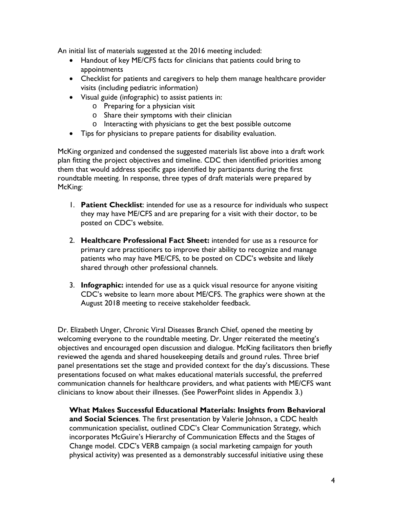An initial list of materials suggested at the 2016 meeting included:

- Handout of key ME/CFS facts for clinicians that patients could bring to appointments
- Checklist for patients and caregivers to help them manage healthcare provider visits (including pediatric information)
- Visual guide (infographic) to assist patients in:
	- o Preparing for a physician visit
	- o Share their symptoms with their clinician
	- o Interacting with physicians to get the best possible outcome
- Tips for physicians to prepare patients for disability evaluation.

 McKing organized and condensed the suggested materials list above into a draft work plan fitting the project objectives and timeline. CDC then identified priorities among them that would address specific gaps identified by participants during the first roundtable meeting. In response, three types of draft materials were prepared by McKing:

- 1. **Patient Checklist**: intended for use as a resource for individuals who suspect they may have ME/CFS and are preparing for a visit with their doctor, to be posted on CDC's website.
- 2. **Healthcare Professional Fact Sheet:** intended for use as a resource for primary care practitioners to improve their ability to recognize and manage patients who may have ME/CFS, to be posted on CDC's website and likely shared through other professional channels.
- 3. **Infographic:** intended for use as a quick visual resource for anyone visiting CDC's website to learn more about ME/CFS. The graphics were shown at the August 2018 meeting to receive stakeholder feedback.

 welcoming everyone to the roundtable meeting. Dr. Unger reiterated the meeting's clinicians to know about their illnesses. (See PowerPoint slides in Appendix 3.) Dr. Elizabeth Unger, Chronic Viral Diseases Branch Chief, opened the meeting by objectives and encouraged open discussion and dialogue. McKing facilitators then briefly reviewed the agenda and shared housekeeping details and ground rules. Three brief panel presentations set the stage and provided context for the day's discussions. These presentations focused on what makes educational materials successful, the preferred communication channels for healthcare providers, and what patients with ME/CFS want

 **and Social Sciences**. The first presentation by Valerie Johnson, a CDC health **What Makes Successful Educational Materials: Insights from Behavioral**  communication specialist, outlined CDC's Clear Communication Strategy, which incorporates McGuire's Hierarchy of Communication Effects and the Stages of Change model. CDC's VERB campaign (a social marketing campaign for youth physical activity) was presented as a demonstrably successful initiative using these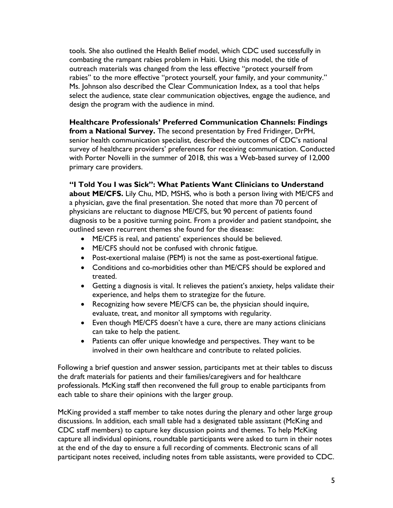tools. She also outlined the Health Belief model, which CDC used successfully in combating the rampant rabies problem in Haiti. Using this model, the title of outreach materials was changed from the less effective "protect yourself from rabies" to the more effective "protect yourself, your family, and your community." Ms. Johnson also described the Clear Communication Index, as a tool that helps select the audience, state clear communication objectives, engage the audience, and design the program with the audience in mind.

 senior health communication specialist, described the outcomes of CDC's national **Healthcare Professionals' Preferred Communication Channels: Findings from a National Survey.** The second presentation by Fred Fridinger, DrPH, survey of healthcare providers' preferences for receiving communication. Conducted with Porter Novelli in the summer of 2018, this was a Web-based survey of 12,000 primary care providers.

 **about ME/CFS.** Lily Chu, MD, MSHS, who is both a person living with ME/CFS and a physician, gave the final presentation. She noted that more than 70 percent of physicians are reluctant to diagnose ME/CFS, but 90 percent of patients found **"I Told You I was Sick": What Patients Want Clinicians to Understand**  diagnosis to be a positive turning point. From a provider and patient standpoint, she outlined seven recurrent themes she found for the disease:

- ME/CFS is real, and patients' experiences should be believed.
- ME/CFS should not be confused with chronic fatigue.
- Post-exertional malaise (PEM) is not the same as post-exertional fatigue.
- Conditions and co-morbidities other than ME/CFS should be explored and treated.
- Getting a diagnosis is vital. It relieves the patient's anxiety, helps validate their experience, and helps them to strategize for the future.
- Recognizing how severe ME/CFS can be, the physician should inquire, evaluate, treat, and monitor all symptoms with regularity.
- Even though ME/CFS doesn't have a cure, there are many actions clinicians can take to help the patient.
- Patients can offer unique knowledge and perspectives. They want to be involved in their own healthcare and contribute to related policies.

Following a brief question and answer session, participants met at their tables to discuss the draft materials for patients and their families/caregivers and for healthcare professionals. McKing staff then reconvened the full group to enable participants from each table to share their opinions with the larger group.

McKing provided a staff member to take notes during the plenary and other large group discussions. In addition, each small table had a designated table assistant (McKing and CDC staff members) to capture key discussion points and themes. To help McKing capture all individual opinions, roundtable participants were asked to turn in their notes at the end of the day to ensure a full recording of comments. Electronic scans of all participant notes received, including notes from table assistants, were provided to CDC.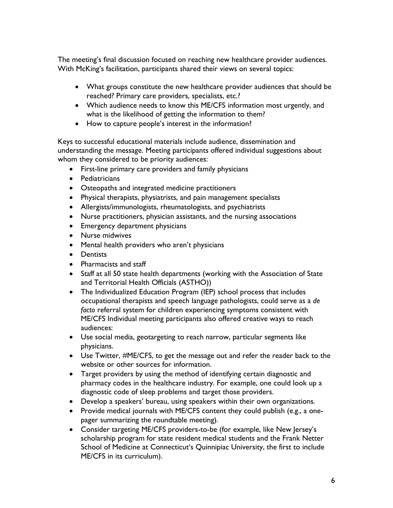The meeting's final discussion focused on reaching new healthcare provider audiences. With McKing's facilitation, participants shared their views on several topics:

- reached? Primary care providers, specialists, etc.? • What groups constitute the new healthcare provider audiences that should be
- what is the likelihood of getting the information to them? • Which audience needs to know this ME/CFS information most urgently, and
- How to capture people's interest in the information?

 Keys to successful educational materials include audience, dissemination and understanding the message. Meeting participants offered individual suggestions about whom they considered to be priority audiences:

- First-line primary care providers and family physicians
- Pediatricians
- Osteopaths and integrated medicine practitioners
- Physical therapists, physiatrists, and pain management specialists
- Allergists/immunologists, rheumatologists, and psychiatrists
- Nurse practitioners, physician assistants, and the nursing associations
- Emergency department physicians
- Nurse midwives
- Mental health providers who aren't physicians
- Dentists
- Pharmacists and staff
- • Staff at all 50 state health departments (working with the Association of State and Territorial Health Officials (ASTHO))
- The Individualized Education Program (IEP) school process that includes occupational therapists and speech language pathologists, could serve as a *de facto* referral system for children experiencing symptoms consistent with ME/CFS Individual meeting participants also offered creative ways to reach audiences:
- Use social media, geotargeting to reach narrow, particular segments like physicians.
- Use Twitter, #ME/CFS, to get the message out and refer the reader back to the website or other sources for information.
- diagnostic code of sleep problems and target those providers. • Target providers by using the method of identifying certain diagnostic and pharmacy codes in the healthcare industry. For example, one could look up a
- Develop a speakers' bureau, using speakers within their own organizations.
- • Provide medical journals with ME/CFS content they could publish (e.g., a one-pager summarizing the roundtable meeting).
- ME/CFS in its curriculum). • Consider targeting ME/CFS providers-to-be (for example, like New Jersey's scholarship program for state resident medical students and the Frank Netter School of Medicine at Connecticut's Quinnipiac University, the first to include